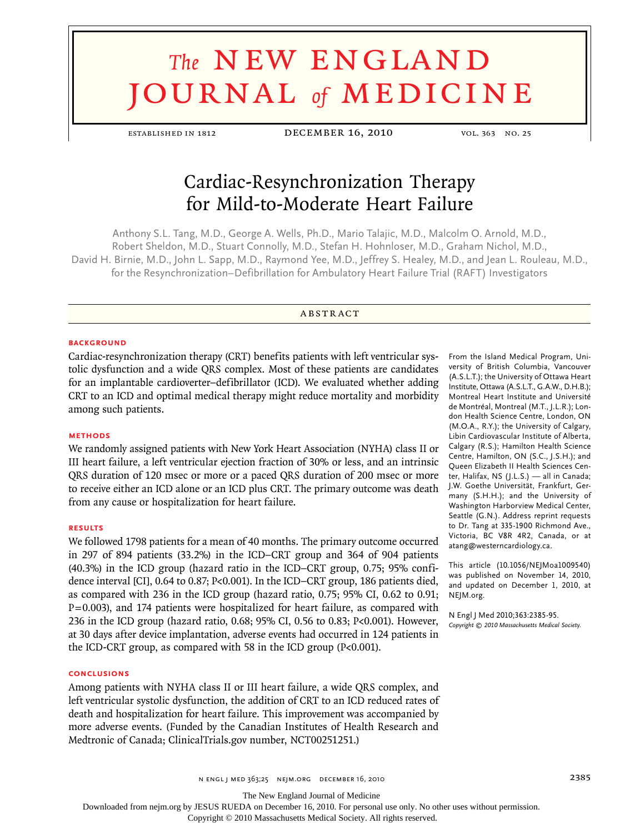# **The NEW ENGLAND** journal *of* medicine

ESTABLISHED IN 1812 DECEMBER 16, 2010 vol. 363 No. 25

# Cardiac-Resynchronization Therapy for Mild-to-Moderate Heart Failure

Anthony S.L. Tang, M.D., George A. Wells, Ph.D., Mario Talajic, M.D., Malcolm O. Arnold, M.D., Robert Sheldon, M.D., Stuart Connolly, M.D., Stefan H. Hohnloser, M.D., Graham Nichol, M.D., David H. Birnie, M.D., John L. Sapp, M.D., Raymond Yee, M.D., Jeffrey S. Healey, M.D., and Jean L. Rouleau, M.D., for the Resynchronization–Defibrillation for Ambulatory Heart Failure Trial (RAFT) Investigators

# **ABSTRACT**

#### **BACKGROUND**

Cardiac-resynchronization therapy (CRT) benefits patients with left ventricular systolic dysfunction and a wide QRS complex. Most of these patients are candidates for an implantable cardioverter–defibrillator (ICD). We evaluated whether adding CRT to an ICD and optimal medical therapy might reduce mortality and morbidity among such patients.

### **Methods**

We randomly assigned patients with New York Heart Association (NYHA) class II or III heart failure, a left ventricular ejection fraction of 30% or less, and an intrinsic QRS duration of 120 msec or more or a paced QRS duration of 200 msec or more to receive either an ICD alone or an ICD plus CRT. The primary outcome was death from any cause or hospitalization for heart failure.

### **Results**

We followed 1798 patients for a mean of 40 months. The primary outcome occurred in 297 of 894 patients (33.2%) in the ICD–CRT group and 364 of 904 patients (40.3%) in the ICD group (hazard ratio in the ICD–CRT group, 0.75; 95% confidence interval [CI], 0.64 to 0.87; P<0.001). In the ICD–CRT group, 186 patients died, as compared with 236 in the ICD group (hazard ratio, 0.75; 95% CI, 0.62 to 0.91;  $P=0.003$ ), and 174 patients were hospitalized for heart failure, as compared with 236 in the ICD group (hazard ratio, 0.68; 95% CI, 0.56 to 0.83; P<0.001). However, at 30 days after device implantation, adverse events had occurred in 124 patients in the ICD-CRT group, as compared with 58 in the ICD group (P<0.001).

# **Conclusions**

Among patients with NYHA class II or III heart failure, a wide QRS complex, and left ventricular systolic dysfunction, the addition of CRT to an ICD reduced rates of death and hospitalization for heart failure. This improvement was accompanied by more adverse events. (Funded by the Canadian Institutes of Health Research and Medtronic of Canada; ClinicalTrials.gov number, NCT00251251.)

From the Island Medical Program, University of British Columbia, Vancouver (A.S.L.T.); the University of Ottawa Heart Institute, Ottawa (A.S.L.T., G.A.W., D.H.B.); Montreal Heart Institute and Université de Montréal, Montreal (M.T., J.L.R.); London Health Science Centre, London, ON (M.O.A., R.Y.); the University of Calgary, Libin Cardiovascular Institute of Alberta, Calgary (R.S.); Hamilton Health Science Centre, Hamilton, ON (S.C., J.S.H.); and Queen Elizabeth II Health Sciences Center, Halifax, NS (J.L.S.) — all in Canada; J.W. Goethe Universität, Frankfurt, Germany (S.H.H.); and the University of Washington Harborview Medical Center, Seattle (G.N.). Address reprint requests to Dr. Tang at 335-1900 Richmond Ave., Victoria, BC V8R 4R2, Canada, or at atang@westerncardiology.ca.

This article (10.1056/NEJMoa1009540) was published on November 14, 2010, and updated on December 1, 2010, at NEJM.org.

N Engl J Med 2010;363:2385-95. *Copyright © 2010 Massachusetts Medical Society.*

n engl j med 363;25 nejm.org december 16, 2010 2385

The New England Journal of Medicine

Downloaded from nejm.org by JESUS RUEDA on December 16, 2010. For personal use only. No other uses without permission.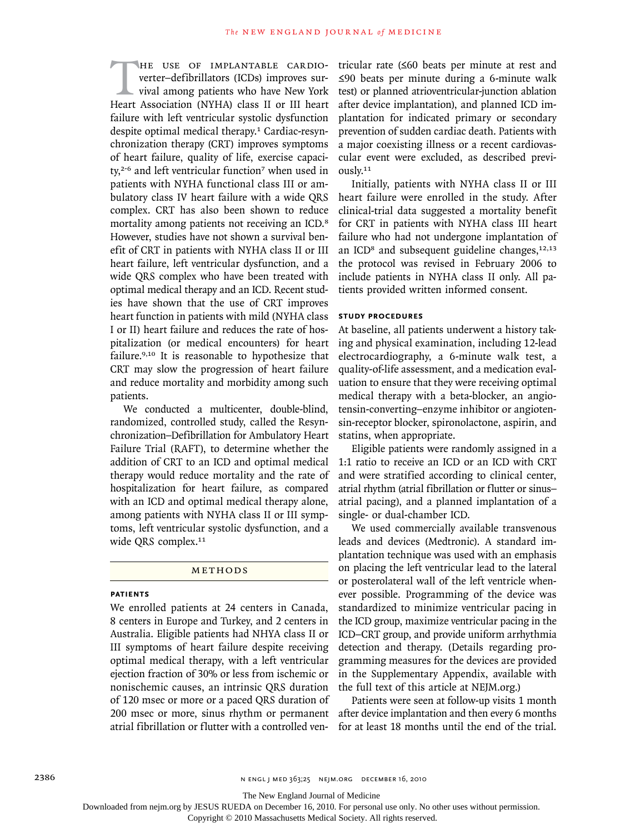HE USE OF IMPLANTABLE CARDIOverter–defibrillators (ICDs) improves survival among patients who have New York Heart Association (NYHA) class II or III heart failure with left ventricular systolic dysfunction despite optimal medical therapy.<sup>1</sup> Cardiac-resynchronization therapy (CRT) improves symptoms of heart failure, quality of life, exercise capacity,<sup>2-6</sup> and left ventricular function<sup>7</sup> when used in patients with NYHA functional class III or ambulatory class IV heart failure with a wide QRS complex. CRT has also been shown to reduce mortality among patients not receiving an ICD.<sup>8</sup> However, studies have not shown a survival benefit of CRT in patients with NYHA class II or III heart failure, left ventricular dysfunction, and a wide QRS complex who have been treated with optimal medical therapy and an ICD. Recent studies have shown that the use of CRT improves heart function in patients with mild (NYHA class I or II) heart failure and reduces the rate of hospitalization (or medical encounters) for heart failure.9,10 It is reasonable to hypothesize that CRT may slow the progression of heart failure and reduce mortality and morbidity among such patients.

We conducted a multicenter, double-blind, randomized, controlled study, called the Resynchronization–Defibrillation for Ambulatory Heart Failure Trial (RAFT), to determine whether the addition of CRT to an ICD and optimal medical therapy would reduce mortality and the rate of hospitalization for heart failure, as compared with an ICD and optimal medical therapy alone, among patients with NYHA class II or III symptoms, left ventricular systolic dysfunction, and a wide QRS complex.<sup>11</sup>

# METHODS

#### **Patients**

We enrolled patients at 24 centers in Canada, 8 centers in Europe and Turkey, and 2 centers in Australia. Eligible patients had NHYA class II or III symptoms of heart failure despite receiving optimal medical therapy, with a left ventricular ejection fraction of 30% or less from ischemic or nonischemic causes, an intrinsic QRS duration of 120 msec or more or a paced QRS duration of 200 msec or more, sinus rhythm or permanent atrial fibrillation or flutter with a controlled ven-

tricular rate (≤60 beats per minute at rest and ≤90 beats per minute during a 6-minute walk test) or planned atrioventricular-junction ablation after device implantation), and planned ICD implantation for indicated primary or secondary prevention of sudden cardiac death. Patients with a major coexisting illness or a recent cardiovascular event were excluded, as described previously.<sup>11</sup>

Initially, patients with NYHA class II or III heart failure were enrolled in the study. After clinical-trial data suggested a mortality benefit for CRT in patients with NYHA class III heart failure who had not undergone implantation of an ICD<sup>8</sup> and subsequent guideline changes,  $12,13$ the protocol was revised in February 2006 to include patients in NYHA class II only. All patients provided written informed consent.

#### **Study Procedures**

At baseline, all patients underwent a history taking and physical examination, including 12-lead electrocardiography, a 6-minute walk test, a quality-of-life assessment, and a medication evaluation to ensure that they were receiving optimal medical therapy with a beta-blocker, an angiotensin-converting–enzyme inhibitor or angiotensin-receptor blocker, spironolactone, aspirin, and statins, when appropriate.

Eligible patients were randomly assigned in a 1:1 ratio to receive an ICD or an ICD with CRT and were stratified according to clinical center, atrial rhythm (atrial fibrillation or flutter or sinus– atrial pacing), and a planned implantation of a single- or dual-chamber ICD.

We used commercially available transvenous leads and devices (Medtronic). A standard implantation technique was used with an emphasis on placing the left ventricular lead to the lateral or posterolateral wall of the left ventricle whenever possible. Programming of the device was standardized to minimize ventricular pacing in the ICD group, maximize ventricular pacing in the ICD–CRT group, and provide uniform arrhythmia detection and therapy. (Details regarding programming measures for the devices are provided in the Supplementary Appendix, available with the full text of this article at NEJM.org.)

Patients were seen at follow-up visits 1 month after device implantation and then every 6 months for at least 18 months until the end of the trial.

The New England Journal of Medicine

Downloaded from nejm.org by JESUS RUEDA on December 16, 2010. For personal use only. No other uses without permission.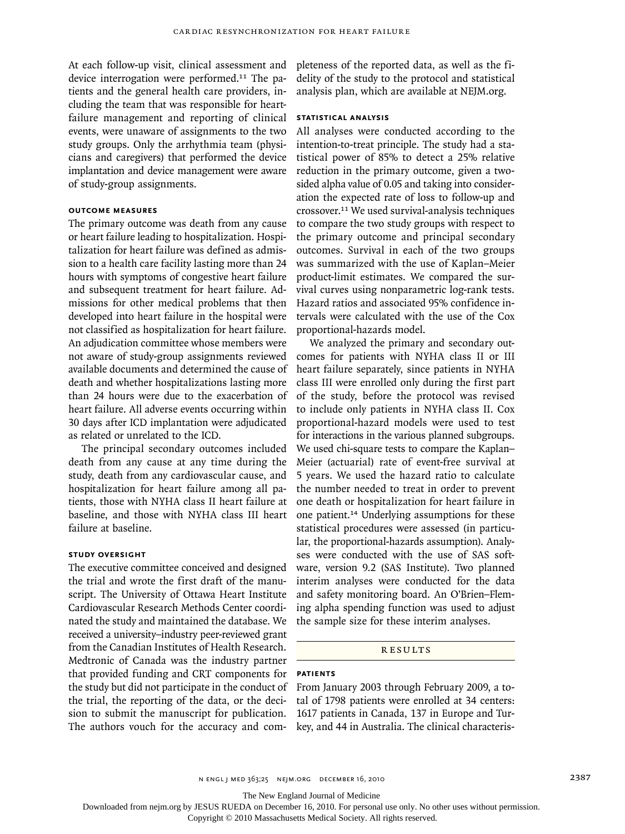At each follow-up visit, clinical assessment and device interrogation were performed.11 The patients and the general health care providers, including the team that was responsible for heartfailure management and reporting of clinical events, were unaware of assignments to the two study groups. Only the arrhythmia team (physicians and caregivers) that performed the device implantation and device management were aware of study-group assignments.

# **Outcome Measures**

The primary outcome was death from any cause or heart failure leading to hospitalization. Hospitalization for heart failure was defined as admission to a health care facility lasting more than 24 hours with symptoms of congestive heart failure and subsequent treatment for heart failure. Admissions for other medical problems that then developed into heart failure in the hospital were not classified as hospitalization for heart failure. An adjudication committee whose members were not aware of study-group assignments reviewed available documents and determined the cause of death and whether hospitalizations lasting more than 24 hours were due to the exacerbation of heart failure. All adverse events occurring within 30 days after ICD implantation were adjudicated as related or unrelated to the ICD.

The principal secondary outcomes included death from any cause at any time during the study, death from any cardiovascular cause, and hospitalization for heart failure among all patients, those with NYHA class II heart failure at baseline, and those with NYHA class III heart failure at baseline.

# **Study Oversight**

The executive committee conceived and designed the trial and wrote the first draft of the manuscript. The University of Ottawa Heart Institute Cardiovascular Research Methods Center coordinated the study and maintained the database. We received a university–industry peer-reviewed grant from the Canadian Institutes of Health Research. Medtronic of Canada was the industry partner that provided funding and CRT components for the study but did not participate in the conduct of the trial, the reporting of the data, or the decision to submit the manuscript for publication. The authors vouch for the accuracy and completeness of the reported data, as well as the fidelity of the study to the protocol and statistical analysis plan, which are available at NEJM.org.

# **Statistical Analysis**

All analyses were conducted according to the intention-to-treat principle. The study had a statistical power of 85% to detect a 25% relative reduction in the primary outcome, given a twosided alpha value of 0.05 and taking into consideration the expected rate of loss to follow-up and crossover.11 We used survival-analysis techniques to compare the two study groups with respect to the primary outcome and principal secondary outcomes. Survival in each of the two groups was summarized with the use of Kaplan–Meier product-limit estimates. We compared the survival curves using nonparametric log-rank tests. Hazard ratios and associated 95% confidence intervals were calculated with the use of the Cox proportional-hazards model.

We analyzed the primary and secondary outcomes for patients with NYHA class II or III heart failure separately, since patients in NYHA class III were enrolled only during the first part of the study, before the protocol was revised to include only patients in NYHA class II. Cox proportional-hazard models were used to test for interactions in the various planned subgroups. We used chi-square tests to compare the Kaplan– Meier (actuarial) rate of event-free survival at 5 years. We used the hazard ratio to calculate the number needed to treat in order to prevent one death or hospitalization for heart failure in one patient.14 Underlying assumptions for these statistical procedures were assessed (in particular, the proportional-hazards assumption). Analyses were conducted with the use of SAS software, version 9.2 (SAS Institute). Two planned interim analyses were conducted for the data and safety monitoring board. An O'Brien–Fleming alpha spending function was used to adjust the sample size for these interim analyses.

# **RESULTS**

# **Patients**

From January 2003 through February 2009, a total of 1798 patients were enrolled at 34 centers: 1617 patients in Canada, 137 in Europe and Turkey, and 44 in Australia. The clinical characteris-

The New England Journal of Medicine

Downloaded from nejm.org by JESUS RUEDA on December 16, 2010. For personal use only. No other uses without permission.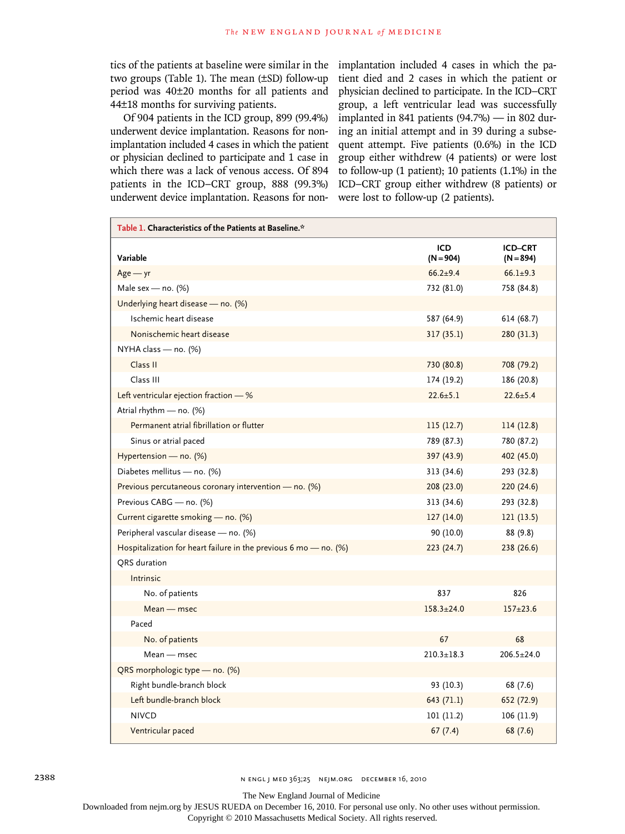tics of the patients at baseline were similar in the two groups (Table 1). The mean (±SD) follow-up period was 40±20 months for all patients and 44±18 months for surviving patients.

Of 904 patients in the ICD group, 899 (99.4%) underwent device implantation. Reasons for nonimplantation included 4 cases in which the patient or physician declined to participate and 1 case in which there was a lack of venous access. Of 894 patients in the ICD–CRT group, 888 (99.3%) underwent device implantation. Reasons for nonimplantation included 4 cases in which the patient died and 2 cases in which the patient or physician declined to participate. In the ICD–CRT group, a left ventricular lead was successfully implanted in 841 patients (94.7%) — in 802 during an initial attempt and in 39 during a subsequent attempt. Five patients (0.6%) in the ICD group either withdrew (4 patients) or were lost to follow-up (1 patient); 10 patients (1.1%) in the ICD–CRT group either withdrew (8 patients) or were lost to follow-up (2 patients).

| Table 1. Characteristics of the Patients at Baseline.*              |                           |                               |
|---------------------------------------------------------------------|---------------------------|-------------------------------|
| Variable                                                            | <b>ICD</b><br>$(N = 904)$ | <b>ICD-CRT</b><br>$(N = 894)$ |
| $Age - yr$                                                          | $66.2 + 9.4$              | $66.1 + 9.3$                  |
| Male sex - no. $(%)$                                                | 732 (81.0)                | 758 (84.8)                    |
| Underlying heart disease - no. (%)                                  |                           |                               |
| Ischemic heart disease                                              | 587 (64.9)                | 614 (68.7)                    |
| Nonischemic heart disease                                           | 317(35.1)                 | 280 (31.3)                    |
| NYHA class - no. (%)                                                |                           |                               |
| Class II                                                            | 730 (80.8)                | 708 (79.2)                    |
| Class III                                                           | 174 (19.2)                | 186 (20.8)                    |
| Left ventricular ejection fraction - %                              | $22.6 \pm 5.1$            | $22.6 \pm 5.4$                |
| Atrial rhythm - no. (%)                                             |                           |                               |
| Permanent atrial fibrillation or flutter                            | 115(12.7)                 | 114 (12.8)                    |
| Sinus or atrial paced                                               | 789 (87.3)                | 780 (87.2)                    |
| Hypertension - no. (%)                                              | 397 (43.9)                | 402 (45.0)                    |
| Diabetes mellitus - no. (%)                                         | 313 (34.6)                | 293 (32.8)                    |
| Previous percutaneous coronary intervention - no. (%)               | 208 (23.0)                | 220 (24.6)                    |
| Previous CABG - no. (%)                                             | 313 (34.6)                | 293 (32.8)                    |
| Current cigarette smoking — no. (%)                                 | 127 (14.0)                | 121(13.5)                     |
| Peripheral vascular disease - no. (%)                               | 90 (10.0)                 | 88 (9.8)                      |
| Hospitalization for heart failure in the previous 6 mo - no. $(\%)$ | 223(24.7)                 | 238(26.6)                     |
| <b>ORS</b> duration                                                 |                           |                               |
| Intrinsic                                                           |                           |                               |
| No. of patients                                                     | 837                       | 826                           |
| Mean - msec                                                         | $158.3 \pm 24.0$          | $157 \pm 23.6$                |
| Paced                                                               |                           |                               |
| No. of patients                                                     | 67                        | 68                            |
| Mean - msec                                                         | $210.3 \pm 18.3$          | $206.5 \pm 24.0$              |
| QRS morphologic type - no. (%)                                      |                           |                               |
| Right bundle-branch block                                           | 93 (10.3)                 | 68 (7.6)                      |
| Left bundle-branch block                                            | 643 (71.1)                | 652 (72.9)                    |
| <b>NIVCD</b>                                                        | 101 (11.2)                | 106 (11.9)                    |
| Ventricular paced                                                   | 67(7.4)                   | 68 (7.6)                      |

The New England Journal of Medicine

Downloaded from nejm.org by JESUS RUEDA on December 16, 2010. For personal use only. No other uses without permission.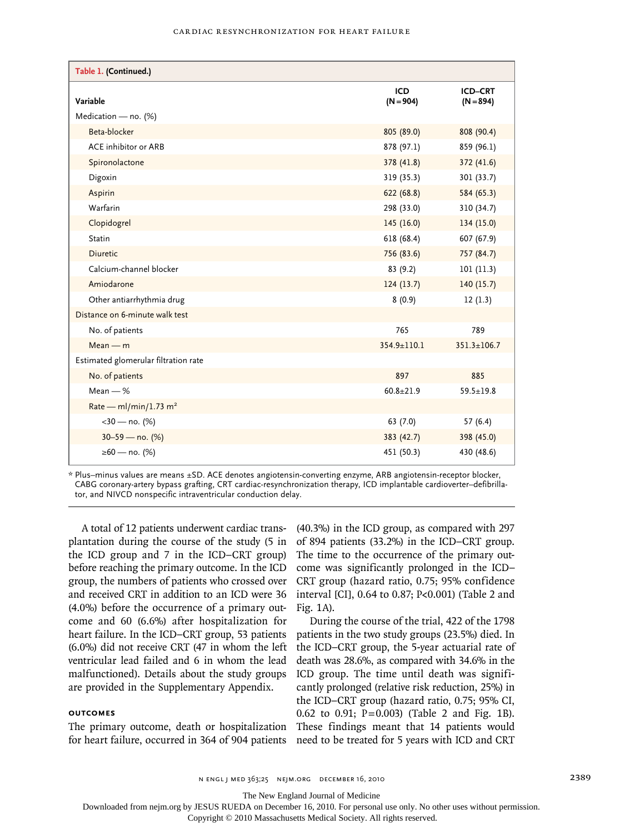| Table 1. (Continued.)                |                           |                               |
|--------------------------------------|---------------------------|-------------------------------|
| Variable                             | <b>ICD</b><br>$(N = 904)$ | <b>ICD-CRT</b><br>$(N = 894)$ |
| Medication - no. (%)                 |                           |                               |
| Beta-blocker                         | 805 (89.0)                | 808 (90.4)                    |
| <b>ACE</b> inhibitor or ARB          | 878 (97.1)                | 859 (96.1)                    |
| Spironolactone                       | 378 (41.8)                | 372 (41.6)                    |
| Digoxin                              | 319 (35.3)                | 301 (33.7)                    |
| Aspirin                              | 622 (68.8)                | 584 (65.3)                    |
| Warfarin                             | 298 (33.0)                | 310 (34.7)                    |
| Clopidogrel                          | 145 (16.0)                | 134 (15.0)                    |
| Statin                               | 618 (68.4)                | 607 (67.9)                    |
| <b>Diuretic</b>                      | 756 (83.6)                | 757 (84.7)                    |
| Calcium-channel blocker              | 83 (9.2)                  | 101(11.3)                     |
| Amiodarone                           | 124(13.7)                 | 140(15.7)                     |
| Other antiarrhythmia drug            | 8(0.9)                    | 12(1.3)                       |
| Distance on 6-minute walk test       |                           |                               |
| No. of patients                      | 765                       | 789                           |
| $Mean - m$                           | $354.9 \pm 110.1$         | $351.3 \pm 106.7$             |
| Estimated glomerular filtration rate |                           |                               |
| No. of patients                      | 897                       | 885                           |
| $Mean - %$                           | $60.8 + 21.9$             | $59.5 \pm 19.8$               |
| Rate - ml/min/1.73 m <sup>2</sup>    |                           |                               |
| $<$ 30 — no. (%)                     | 63 (7.0)                  | 57(6.4)                       |
| $30 - 59 - no.$ (%)                  | 383 (42.7)                | 398 (45.0)                    |
| ≥60 — no. (%)                        | 451 (50.3)                | 430 (48.6)                    |

\* Plus–minus values are means ±SD. ACE denotes angiotensin-converting enzyme, ARB angiotensin-receptor blocker, CABG coronary-artery bypass grafting, CRT cardiac-resynchronization therapy, ICD implantable cardioverter–defibrillator, and NIVCD nonspecific intraventricular conduction delay.

A total of 12 patients underwent cardiac transplantation during the course of the study (5 in the ICD group and 7 in the ICD–CRT group) before reaching the primary outcome. In the ICD group, the numbers of patients who crossed over and received CRT in addition to an ICD were 36 (4.0%) before the occurrence of a primary outcome and 60 (6.6%) after hospitalization for heart failure. In the ICD–CRT group, 53 patients (6.0%) did not receive CRT (47 in whom the left ventricular lead failed and 6 in whom the lead malfunctioned). Details about the study groups are provided in the Supplementary Appendix.

# **Outcomes**

The primary outcome, death or hospitalization for heart failure, occurred in 364 of 904 patients (40.3%) in the ICD group, as compared with 297 of 894 patients (33.2%) in the ICD–CRT group. The time to the occurrence of the primary outcome was significantly prolonged in the ICD– CRT group (hazard ratio, 0.75; 95% confidence interval [CI], 0.64 to 0.87; P<0.001) (Table 2 and Fig. 1A).

During the course of the trial, 422 of the 1798 patients in the two study groups (23.5%) died. In the ICD–CRT group, the 5-year actuarial rate of death was 28.6%, as compared with 34.6% in the ICD group. The time until death was significantly prolonged (relative risk reduction, 25%) in the ICD–CRT group (hazard ratio, 0.75; 95% CI, 0.62 to 0.91; P=0.003) (Table 2 and Fig. 1B). These findings meant that 14 patients would need to be treated for 5 years with ICD and CRT

The New England Journal of Medicine

Downloaded from nejm.org by JESUS RUEDA on December 16, 2010. For personal use only. No other uses without permission.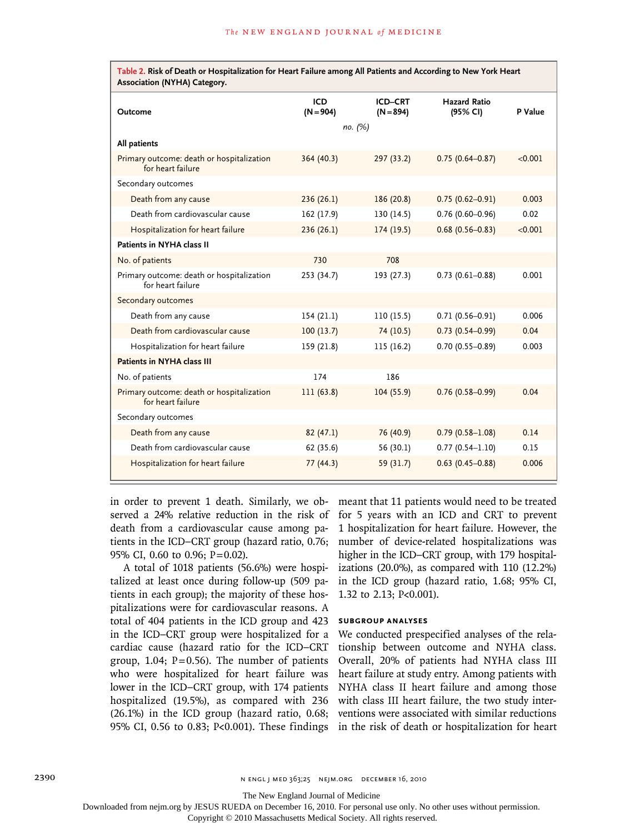**Table 2. Risk of Death or Hospitalization for Heart Failure among All Patients and According to New York Heart Association (NYHA) Category.**

| Outcome                                                        | ICD<br>$(N = 904)$ | <b>ICD-CRT</b><br>$(N = 894)$ | Hazard Ratio<br>(95% CI) | P Value |
|----------------------------------------------------------------|--------------------|-------------------------------|--------------------------|---------|
|                                                                |                    |                               |                          |         |
|                                                                | no. (%)            |                               |                          |         |
| All patients                                                   |                    |                               |                          |         |
| Primary outcome: death or hospitalization<br>for heart failure | 364 (40.3)         | 297 (33.2)                    | $0.75(0.64 - 0.87)$      | < 0.001 |
| Secondary outcomes                                             |                    |                               |                          |         |
| Death from any cause                                           | 236(26.1)          | 186(20.8)                     | $0.75(0.62 - 0.91)$      | 0.003   |
| Death from cardiovascular cause                                | 162 (17.9)         | 130 (14.5)                    | $0.76(0.60 - 0.96)$      | 0.02    |
| Hospitalization for heart failure                              | 236(26.1)          | 174(19.5)                     | $0.68(0.56 - 0.83)$      | < 0.001 |
| Patients in NYHA class II                                      |                    |                               |                          |         |
| No. of patients                                                | 730                | 708                           |                          |         |
| Primary outcome: death or hospitalization<br>for heart failure | 253 (34.7)         | 193 (27.3)                    | $0.73(0.61 - 0.88)$      | 0.001   |
| Secondary outcomes                                             |                    |                               |                          |         |
| Death from any cause                                           | 154 (21.1)         | 110(15.5)                     | $0.71(0.56 - 0.91)$      | 0.006   |
| Death from cardiovascular cause                                | 100(13.7)          | 74 (10.5)                     | $0.73(0.54 - 0.99)$      | 0.04    |
| Hospitalization for heart failure                              | 159 (21.8)         | 115 (16.2)                    | $0.70(0.55 - 0.89)$      | 0.003   |
| <b>Patients in NYHA class III</b>                              |                    |                               |                          |         |
| No. of patients                                                | 174                | 186                           |                          |         |
| Primary outcome: death or hospitalization<br>for heart failure | 111(63.8)          | 104(55.9)                     | $0.76(0.58 - 0.99)$      | 0.04    |
| Secondary outcomes                                             |                    |                               |                          |         |
| Death from any cause                                           | 82(47.1)           | 76 (40.9)                     | $0.79(0.58 - 1.08)$      | 0.14    |
| Death from cardiovascular cause                                | 62 (35.6)          | 56 (30.1)                     | $0.77(0.54 - 1.10)$      | 0.15    |
| Hospitalization for heart failure                              | 77 (44.3)          | 59 (31.7)                     | $0.63(0.45 - 0.88)$      | 0.006   |

in order to prevent 1 death. Similarly, we observed a 24% relative reduction in the risk of death from a cardiovascular cause among patients in the ICD–CRT group (hazard ratio, 0.76; 95% CI, 0.60 to 0.96; P=0.02).

A total of 1018 patients (56.6%) were hospitalized at least once during follow-up (509 patients in each group); the majority of these hospitalizations were for cardiovascular reasons. A total of 404 patients in the ICD group and 423 in the ICD–CRT group were hospitalized for a cardiac cause (hazard ratio for the ICD–CRT group, 1.04;  $P=0.56$ ). The number of patients who were hospitalized for heart failure was lower in the ICD–CRT group, with 174 patients hospitalized (19.5%), as compared with 236 (26.1%) in the ICD group (hazard ratio, 0.68; 95% CI, 0.56 to 0.83; P<0.001). These findings

meant that 11 patients would need to be treated for 5 years with an ICD and CRT to prevent 1 hospitalization for heart failure. However, the number of device-related hospitalizations was higher in the ICD–CRT group, with 179 hospitalizations (20.0%), as compared with 110 (12.2%) in the ICD group (hazard ratio, 1.68; 95% CI, 1.32 to 2.13; P<0.001).

# **Subgroup Analyses**

We conducted prespecified analyses of the relationship between outcome and NYHA class. Overall, 20% of patients had NYHA class III heart failure at study entry. Among patients with NYHA class II heart failure and among those with class III heart failure, the two study interventions were associated with similar reductions in the risk of death or hospitalization for heart

The New England Journal of Medicine

Downloaded from nejm.org by JESUS RUEDA on December 16, 2010. For personal use only. No other uses without permission.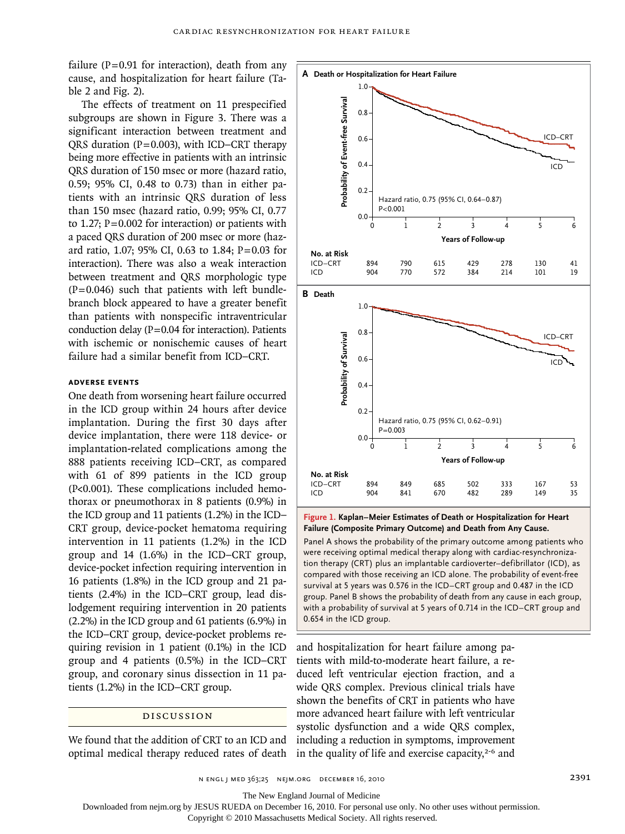failure ( $P=0.91$  for interaction), death from any cause, and hospitalization for heart failure (Table 2 and Fig. 2).

The effects of treatment on 11 prespecified subgroups are shown in Figure 3. There was a significant interaction between treatment and QRS duration ( $P=0.003$ ), with ICD–CRT therapy being more effective in patients with an intrinsic QRS duration of 150 msec or more (hazard ratio, 0.59; 95% CI, 0.48 to 0.73) than in either patients with an intrinsic QRS duration of less than 150 msec (hazard ratio, 0.99; 95% CI, 0.77 to 1.27;  $P = 0.002$  for interaction) or patients with a paced QRS duration of 200 msec or more (hazard ratio, 1.07; 95% CI, 0.63 to 1.84; P=0.03 for interaction). There was also a weak interaction between treatment and QRS morphologic type  $(P=0.046)$  such that patients with left bundlebranch block appeared to have a greater benefit than patients with nonspecific intraventricular conduction delay  $(P=0.04$  for interaction). Patients with ischemic or nonischemic causes of heart failure had a similar benefit from ICD–CRT.

# **Adverse Events**

One death from worsening heart failure occurred in the ICD group within 24 hours after device implantation. During the first 30 days after device implantation, there were 118 device- or implantation-related complications among the 888 patients receiving ICD–CRT, as compared with 61 of 899 patients in the ICD group (P<0.001). These complications included hemothorax or pneumothorax in 8 patients (0.9%) in the ICD group and 11 patients (1.2%) in the ICD– CRT group, device-pocket hematoma requiring intervention in 11 patients (1.2%) in the ICD group and 14 (1.6%) in the ICD–CRT group, device-pocket infection requiring intervention in 16 patients (1.8%) in the ICD group and 21 patients (2.4%) in the ICD–CRT group, lead dislodgement requiring intervention in 20 patients (2.2%) in the ICD group and 61 patients (6.9%) in the ICD–CRT group, device-pocket problems requiring revision in 1 patient (0.1%) in the ICD group and 4 patients (0.5%) in the ICD–CRT group, and coronary sinus dissection in 11 patients (1.2%) in the ICD–CRT group.

# Discussion

We found that the addition of CRT to an ICD and optimal medical therapy reduced rates of death in the quality of life and exercise capacity, $2-6$  and



**Figure 1. Kaplan–Meier Estimates of Death or Hospitalization for Heart Failure (Composite Primary Outcome) and Death from Any Cause.**

Panel A shows the probability of the primary outcome among patients who were receiving optimal medical therapy along with cardiac-resynchronization therapy (CRT) plus an implantable cardioverter–defibrillator (ICD), as compared with those receiving an ICD alone. The probability of event-free survival at 5 years was 0.576 in the ICD–CRT group and 0.487 in the ICD group. Panel B shows the probability of death from any cause in each group, with a probability of survival at 5 years of 0.714 in the ICD–CRT group and 0.654 in the ICD group.

and hospitalization for heart failure among patients with mild-to-moderate heart failure, a reduced left ventricular ejection fraction, and a wide QRS complex. Previous clinical trials have shown the benefits of CRT in patients who have more advanced heart failure with left ventricular systolic dysfunction and a wide QRS complex, including a reduction in symptoms, improvement

n engl j med 363;25 nejm.org december 16, 2010 2391

The New England Journal of Medicine

Downloaded from nejm.org by JESUS RUEDA on December 16, 2010. For personal use only. No other uses without permission.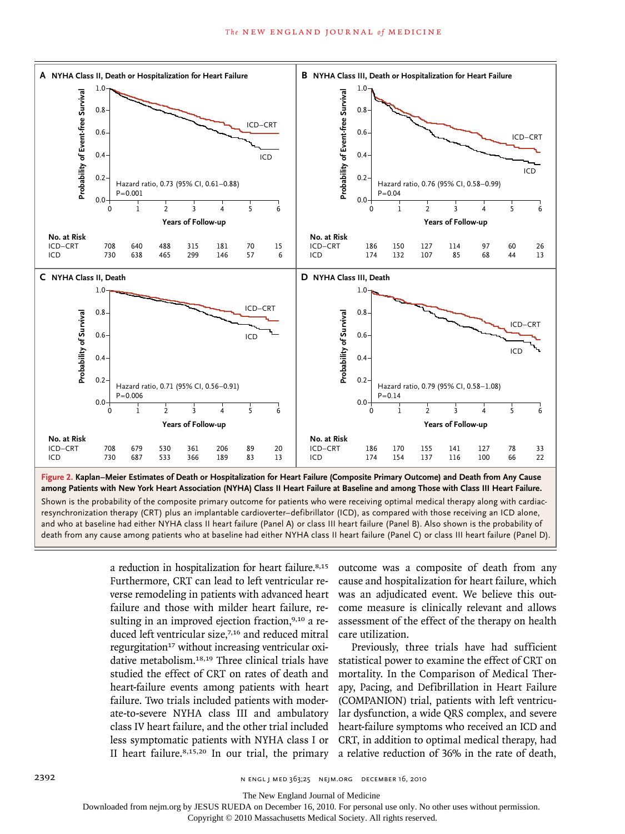

Shown is the probability of the composite primary outcome for patients who were receiving optimal medical therapy along with cardiacresynchronization therapy (CRT) plus an implantable cardioverter–defibrillator (ICD), as compared with those receiving an ICD alone, and who at baseline had either NYHA class II heart failure (Panel A) or class III heart failure (Panel B). Also shown is the probability of death from any cause among patients who at baseline had either NYHA class II heart failure (Panel C) or class III heart failure (Panel D).

> a reduction in hospitalization for heart failure.<sup>8,15</sup> Furthermore, CRT can lead to left ventricular reverse remodeling in patients with advanced heart failure and those with milder heart failure, resulting in an improved ejection fraction,<sup>9,10</sup> a reduced left ventricular size,<sup>7,16</sup> and reduced mitral regurgitation<sup>17</sup> without increasing ventricular oxidative metabolism.18,19 Three clinical trials have studied the effect of CRT on rates of death and heart-failure events among patients with heart failure. Two trials included patients with moderate-to-severe NYHA class III and ambulatory class IV heart failure, and the other trial included

outcome was a composite of death from any cause and hospitalization for heart failure, which was an adjudicated event. We believe this outcome measure is clinically relevant and allows assessment of the effect of the therapy on health care utilization.

less symptomatic patients with NYHA class I or CRT, in addition to optimal medical therapy, had II heart failure.<sup>8,15,20</sup> In our trial, the primary a relative reduction of 36% in the rate of death, Previously, three trials have had sufficient statistical power to examine the effect of CRT on mortality. In the Comparison of Medical Therapy, Pacing, and Defibrillation in Heart Failure (COMPANION) trial, patients with left ventricular dysfunction, a wide QRS complex, and severe heart-failure symptoms who received an ICD and

The New England Journal of Medicine

Downloaded from nejm.org by JESUS RUEDA on December 16, 2010. For personal use only. No other uses without permission.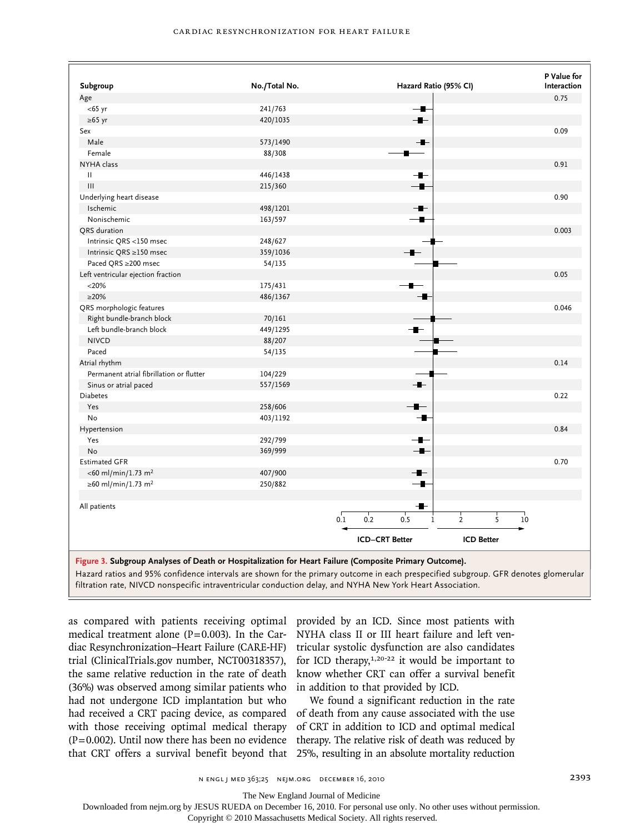#### Cardiac Resynchronization for Heart Failure

| Subgroup                                                                                               | No./Total No.                              | Hazard Ratio (95% CI)                                                          | P Value for<br>Interaction |  |
|--------------------------------------------------------------------------------------------------------|--------------------------------------------|--------------------------------------------------------------------------------|----------------------------|--|
| Age                                                                                                    |                                            |                                                                                | 0.75                       |  |
| $<$ 65 yr                                                                                              | 241/763                                    | ₩                                                                              |                            |  |
| $\geq 65$ yr                                                                                           | 420/1035                                   | -8-                                                                            |                            |  |
| Sex                                                                                                    |                                            |                                                                                | 0.09                       |  |
| Male                                                                                                   | 573/1490                                   | - 1                                                                            |                            |  |
| Female                                                                                                 | 88/308                                     |                                                                                |                            |  |
| NYHA class                                                                                             |                                            |                                                                                | 0.91                       |  |
| Ш                                                                                                      | 446/1438                                   | - 1                                                                            |                            |  |
| III                                                                                                    | 215/360                                    | — T-                                                                           |                            |  |
| Underlying heart disease                                                                               |                                            |                                                                                | 0.90                       |  |
| Ischemic                                                                                               | 498/1201                                   | -9                                                                             |                            |  |
| Nonischemic                                                                                            | 163/597                                    |                                                                                |                            |  |
| QRS duration                                                                                           |                                            |                                                                                | 0.003                      |  |
| Intrinsic QRS <150 msec                                                                                | 248/627                                    |                                                                                |                            |  |
| Intrinsic QRS ≥150 msec                                                                                | 359/1036                                   | — <b>—</b>                                                                     |                            |  |
| Paced QRS ≥200 msec                                                                                    | 54/135                                     |                                                                                |                            |  |
| Left ventricular ejection fraction                                                                     |                                            |                                                                                | 0.05                       |  |
| $<$ 20%                                                                                                | 175/431                                    |                                                                                |                            |  |
| $\geq$ 20%                                                                                             | 486/1367                                   |                                                                                |                            |  |
| QRS morphologic features                                                                               |                                            |                                                                                | 0.046                      |  |
| Right bundle-branch block                                                                              | 70/161                                     |                                                                                |                            |  |
| Left bundle-branch block                                                                               | 449/1295                                   |                                                                                |                            |  |
| <b>NIVCD</b>                                                                                           | 88/207                                     |                                                                                |                            |  |
| Paced                                                                                                  | 54/135                                     |                                                                                |                            |  |
| Atrial rhythm                                                                                          |                                            |                                                                                | 0.14                       |  |
| Permanent atrial fibrillation or flutter                                                               | 104/229                                    |                                                                                |                            |  |
| Sinus or atrial paced                                                                                  | 557/1569                                   | - -                                                                            |                            |  |
| <b>Diabetes</b>                                                                                        |                                            |                                                                                | 0.22                       |  |
| Yes                                                                                                    | 258/606                                    |                                                                                |                            |  |
| No                                                                                                     | 403/1192                                   |                                                                                |                            |  |
| Hypertension                                                                                           |                                            |                                                                                | 0.84                       |  |
| Yes                                                                                                    | 292/799                                    | —∎–                                                                            |                            |  |
| No                                                                                                     | 369/999                                    | ╼                                                                              |                            |  |
| <b>Estimated GFR</b>                                                                                   |                                            |                                                                                | 0.70                       |  |
| <60 ml/min/1.73 m <sup>2</sup>                                                                         | 407/900                                    | ╼▆╼                                                                            |                            |  |
|                                                                                                        |                                            | -<br>-∎                                                                        |                            |  |
| ≥60 ml/min/1.73 m <sup>2</sup>                                                                         | 250/882                                    |                                                                                |                            |  |
| All patients                                                                                           |                                            | - 1                                                                            |                            |  |
|                                                                                                        |                                            | ┑<br>0.5<br>0.2<br>$\frac{1}{2}$<br>$\frac{1}{5}$<br>0.1<br>10<br>$\mathbf{1}$ |                            |  |
|                                                                                                        | <b>ICD-CRT Better</b><br><b>ICD Better</b> |                                                                                |                            |  |
| Figure 2. Subgroup Applyces of Death or Hospitalization for Heart Failure (Composite Drimary Outseana) |                                            |                                                                                |                            |  |

**Figure 3. Subgroup Analyses of Death or Hospitalization for Heart Failure (Composite Primary Outcome).**

Hazard ratios and 95% confidence intervals are shown for the primary outcome in each prespecified subgroup. GFR denotes glomerular filtration rate, NIVCD nonspecific intraventricular conduction delay, and NYHA New York Heart Association.

medical treatment alone  $(P=0.003)$ . In the Car- NYHA class II or III heart failure and left ven-(36%) was observed among similar patients who in addition to that provided by ICD. had not undergone ICD implantation but who had received a CRT pacing device, as compared of death from any cause associated with the use with those receiving optimal medical therapy of CRT in addition to ICD and optimal medical  $(P=0.002)$ . Until now there has been no evidence therapy. The relative risk of death was reduced by that CRT offers a survival benefit beyond that 25%, resulting in an absolute mortality reduction

as compared with patients receiving optimal provided by an ICD. Since most patients with diac Resynchronization–Heart Failure (CARE-HF) tricular systolic dysfunction are also candidates trial (ClinicalTrials.gov number, NCT00318357), for ICD therapy,<sup>1,20-22</sup> it would be important to the same relative reduction in the rate of death know whether CRT can offer a survival benefit

We found a significant reduction in the rate

n engl j med 363;25 nejm.org december 16, 2010 2393

The New England Journal of Medicine

Downloaded from nejm.org by JESUS RUEDA on December 16, 2010. For personal use only. No other uses without permission.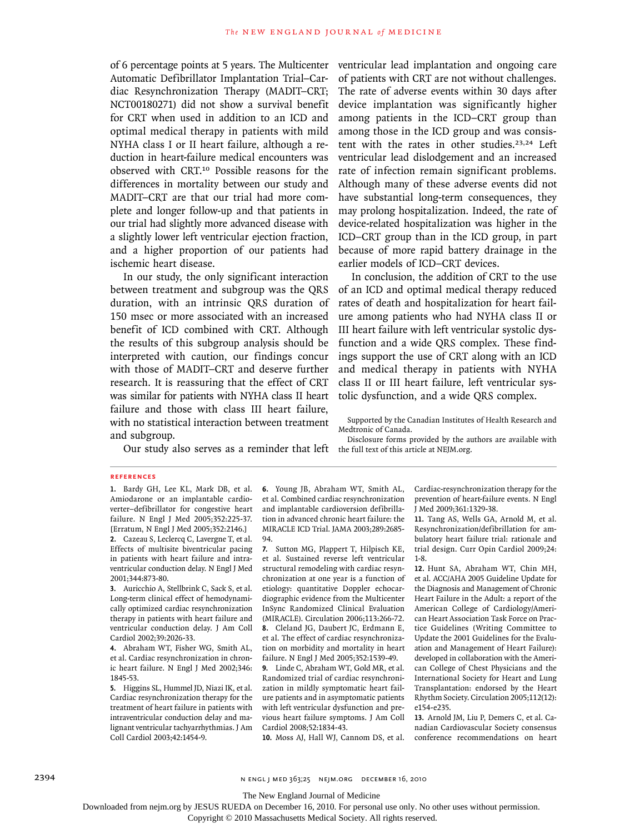of 6 percentage points at 5 years. The Multicenter Automatic Defibrillator Implantation Trial–Cardiac Resynchronization Therapy (MADIT–CRT; NCT00180271) did not show a survival benefit for CRT when used in addition to an ICD and optimal medical therapy in patients with mild NYHA class I or II heart failure, although a reduction in heart-failure medical encounters was observed with CRT.10 Possible reasons for the differences in mortality between our study and MADIT–CRT are that our trial had more complete and longer follow-up and that patients in our trial had slightly more advanced disease with a slightly lower left ventricular ejection fraction, and a higher proportion of our patients had ischemic heart disease.

In our study, the only significant interaction between treatment and subgroup was the QRS duration, with an intrinsic QRS duration of 150 msec or more associated with an increased benefit of ICD combined with CRT. Although the results of this subgroup analysis should be interpreted with caution, our findings concur with those of MADIT–CRT and deserve further research. It is reassuring that the effect of CRT was similar for patients with NYHA class II heart failure and those with class III heart failure, with no statistical interaction between treatment and subgroup.

ventricular lead implantation and ongoing care of patients with CRT are not without challenges. The rate of adverse events within 30 days after device implantation was significantly higher among patients in the ICD–CRT group than among those in the ICD group and was consistent with the rates in other studies.<sup>23,24</sup> Left ventricular lead dislodgement and an increased rate of infection remain significant problems. Although many of these adverse events did not have substantial long-term consequences, they may prolong hospitalization. Indeed, the rate of device-related hospitalization was higher in the ICD–CRT group than in the ICD group, in part because of more rapid battery drainage in the earlier models of ICD–CRT devices.

In conclusion, the addition of CRT to the use of an ICD and optimal medical therapy reduced rates of death and hospitalization for heart failure among patients who had NYHA class II or III heart failure with left ventricular systolic dysfunction and a wide QRS complex. These findings support the use of CRT along with an ICD and medical therapy in patients with NYHA class II or III heart failure, left ventricular systolic dysfunction, and a wide QRS complex.

Supported by the Canadian Institutes of Health Research and

Disclosure forms provided by the authors are available with

Our study also serves as a reminder that left the full text of this article at NEJM.org.

#### **References**

**1.** Bardy GH, Lee KL, Mark DB, et al. Amiodarone or an implantable cardioverter–defibrillator for congestive heart failure. N Engl J Med 2005;352:225-37. [Erratum, N Engl J Med 2005;352:2146.] **2.** Cazeau S, Leclercq C, Lavergne T, et al. Effects of multisite biventricular pacing in patients with heart failure and intraventricular conduction delay. N Engl J Med 2001;344:873-80.

**3.** Auricchio A, Stellbrink C, Sack S, et al. Long-term clinical effect of hemodynamically optimized cardiac resynchronization therapy in patients with heart failure and ventricular conduction delay. J Am Coll Cardiol 2002;39:2026-33.

**4.** Abraham WT, Fisher WG, Smith AL, et al. Cardiac resynchronization in chronic heart failure. N Engl J Med 2002;346: 1845-53.

**5.** Higgins SL, Hummel JD, Niazi IK, et al. Cardiac resynchronization therapy for the treatment of heart failure in patients with intraventricular conduction delay and malignant ventricular tachyarrhythmias. J Am Coll Cardiol 2003;42:1454-9.

**6.** Young JB, Abraham WT, Smith AL, et al. Combined cardiac resynchronization and implantable cardioversion defibrillation in advanced chronic heart failure: the MIRACLE ICD Trial. JAMA 2003;289:2685- 94.

Medtronic of Canada.

**7.** Sutton MG, Plappert T, Hilpisch KE, et al. Sustained reverse left ventricular structural remodeling with cardiac resynchronization at one year is a function of etiology: quantitative Doppler echocardiographic evidence from the Multicenter InSync Randomized Clinical Evaluation (MIRACLE). Circulation 2006;113:266-72. **8.** Cleland JG, Daubert JC, Erdmann E,

et al. The effect of cardiac resynchronization on morbidity and mortality in heart failure. N Engl J Med 2005;352:1539-49.

**9.** Linde C, Abraham WT, Gold MR, et al. Randomized trial of cardiac resynchronization in mildly symptomatic heart failure patients and in asymptomatic patients with left ventricular dysfunction and previous heart failure symptoms. J Am Coll Cardiol 2008;52:1834-43.

**10.** Moss AJ, Hall WJ, Cannom DS, et al.

Cardiac-resynchronization therapy for the prevention of heart-failure events. N Engl J Med 2009;361:1329-38.

**11.** Tang AS, Wells GA, Arnold M, et al. Resynchronization/defibrillation for ambulatory heart failure trial: rationale and trial design. Curr Opin Cardiol 2009;24: 1-8.

**12.** Hunt SA, Abraham WT, Chin MH, et al. ACC/AHA 2005 Guideline Update for the Diagnosis and Management of Chronic Heart Failure in the Adult: a report of the American College of Cardiology/American Heart Association Task Force on Practice Guidelines (Writing Committee to Update the 2001 Guidelines for the Evaluation and Management of Heart Failure): developed in collaboration with the American College of Chest Physicians and the International Society for Heart and Lung Transplantation: endorsed by the Heart Rhythm Society. Circulation 2005;112(12): e154-e235.

**13.** Arnold JM, Liu P, Demers C, et al. Canadian Cardiovascular Society consensus conference recommendations on heart

The New England Journal of Medicine

Downloaded from nejm.org by JESUS RUEDA on December 16, 2010. For personal use only. No other uses without permission.